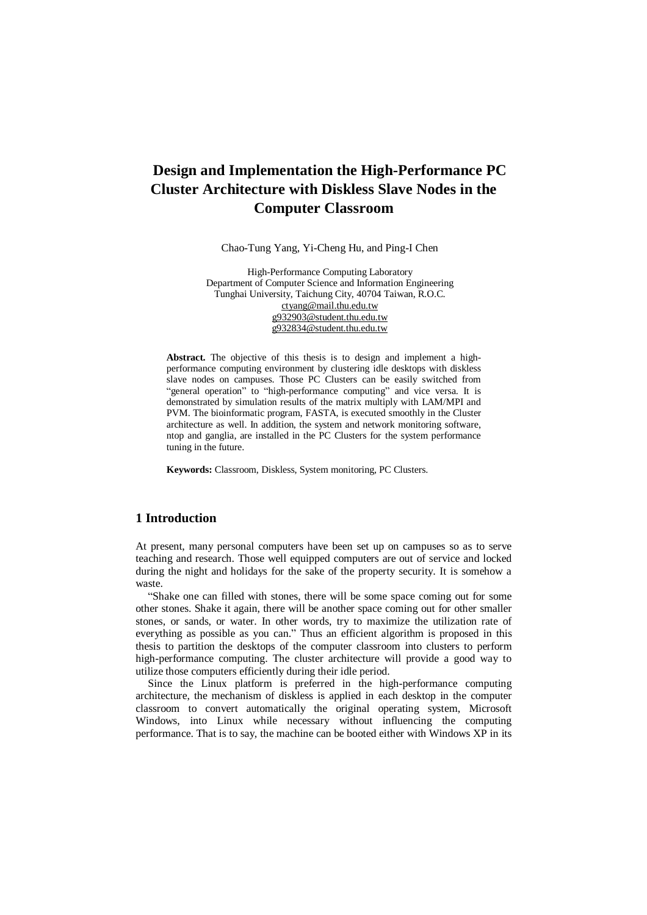Chao-Tung Yang, Yi-Cheng Hu, and Ping-I Chen

High-Performance Computing Laboratory Department of Computer Science and Information Engineering Tunghai University, Taichung City, 40704 Taiwan, R.O.C. [ctyang@mail.thu.edu.tw](mailto:ctyang@mail.thu.edu.tw)  [g932903@student.thu.edu.tw](mailto:g932903@student.thu.edu.tw) [g932834@student.thu.edu.tw](mailto:g932834@student.thu.edu.tw)

**Abstract.** The objective of this thesis is to design and implement a highperformance computing environment by clustering idle desktops with diskless slave nodes on campuses. Those PC Clusters can be easily switched from "general operation" to "high-performance computing" and vice versa. It is demonstrated by simulation results of the matrix multiply with LAM/MPI and PVM. The bioinformatic program, FASTA, is executed smoothly in the Cluster architecture as well. In addition, the system and network monitoring software, ntop and ganglia, are installed in the PC Clusters for the system performance tuning in the future.

**Keywords:** Classroom, Diskless, System monitoring, PC Clusters.

# **1 Introduction**

At present, many personal computers have been set up on campuses so as to serve teaching and research. Those well equipped computers are out of service and locked during the night and holidays for the sake of the property security. It is somehow a waste.

"Shake one can filled with stones, there will be some space coming out for some other stones. Shake it again, there will be another space coming out for other smaller stones, or sands, or water. In other words, try to maximize the utilization rate of everything as possible as you can." Thus an efficient algorithm is proposed in this thesis to partition the desktops of the computer classroom into clusters to perform high-performance computing. The cluster architecture will provide a good way to utilize those computers efficiently during their idle period.

Since the Linux platform is preferred in the high-performance computing architecture, the mechanism of diskless is applied in each desktop in the computer classroom to convert automatically the original operating system, Microsoft Windows, into Linux while necessary without influencing the computing performance. That is to say, the machine can be booted either with Windows XP in its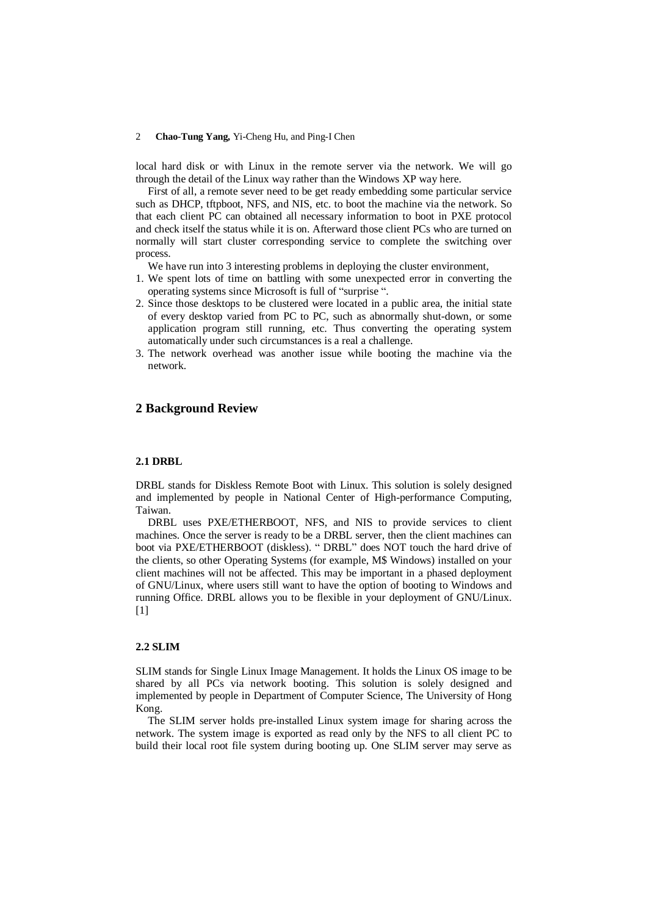local hard disk or with Linux in the remote server via the network. We will go through the detail of the Linux way rather than the Windows XP way here.

First of all, a remote sever need to be get ready embedding some particular service such as DHCP, tftpboot, NFS, and NIS, etc. to boot the machine via the network. So that each client PC can obtained all necessary information to boot in PXE protocol and check itself the status while it is on. Afterward those client PCs who are turned on normally will start cluster corresponding service to complete the switching over process.

We have run into 3 interesting problems in deploying the cluster environment,

- 1. We spent lots of time on battling with some unexpected error in converting the operating systems since Microsoft is full of "surprise ".
- 2. Since those desktops to be clustered were located in a public area, the initial state of every desktop varied from PC to PC, such as abnormally shut-down, or some application program still running, etc. Thus converting the operating system automatically under such circumstances is a real a challenge.
- 3. The network overhead was another issue while booting the machine via the network.

# **2 Background Review**

#### **2.1 DRBL**

DRBL stands for Diskless Remote Boot with Linux. This solution is solely designed and implemented by people in National Center of High-performance Computing, Taiwan.

DRBL uses PXE/ETHERBOOT, NFS, and NIS to provide services to client machines. Once the server is ready to be a DRBL server, then the client machines can boot via PXE/ETHERBOOT (diskless). " DRBL" does NOT touch the hard drive of the clients, so other Operating Systems (for example, M\$ Windows) installed on your client machines will not be affected. This may be important in a phased deployment of GNU/Linux, where users still want to have the option of booting to Windows and running Office. DRBL allows you to be flexible in your deployment of GNU/Linux. [1]

### **2.2 SLIM**

SLIM stands for Single Linux Image Management. It holds the Linux OS image to be shared by all PCs via network booting. This solution is solely designed and implemented by people in Department of Computer Science, The University of Hong Kong.

The SLIM server holds pre-installed Linux system image for sharing across the network. The system image is exported as read only by the NFS to all client PC to build their local root file system during booting up. One SLIM server may serve as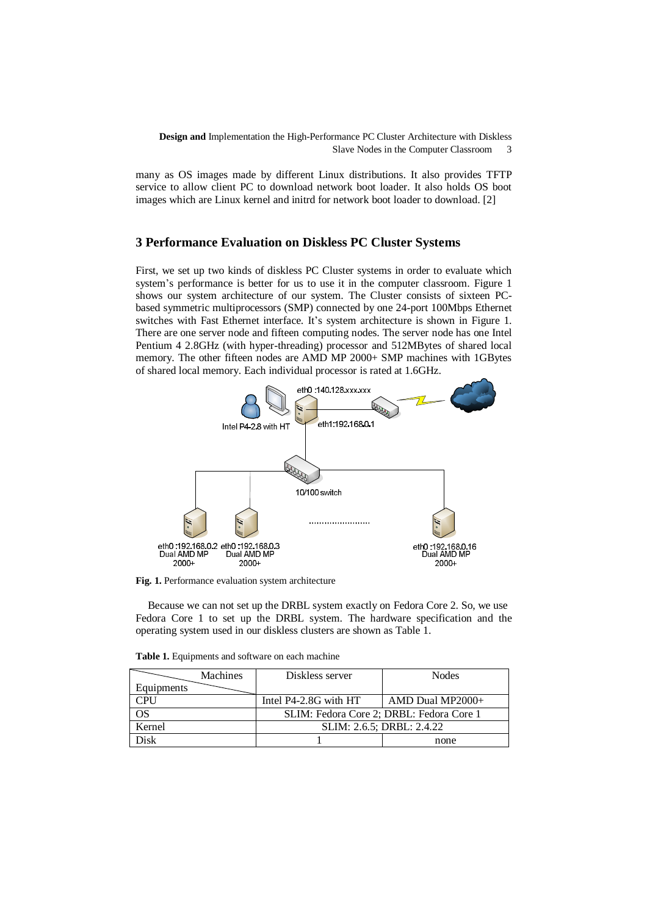many as OS images made by different Linux distributions. It also provides TFTP service to allow client PC to download network boot loader. It also holds OS boot images which are Linux kernel and initrd for network boot loader to download. [2]

### **3 Performance Evaluation on Diskless PC Cluster Systems**

First, we set up two kinds of diskless PC Cluster systems in order to evaluate which system's performance is better for us to use it in the computer classroom. Figure 1 shows our system architecture of our system. The Cluster consists of sixteen PCbased symmetric multiprocessors (SMP) connected by one 24-port 100Mbps Ethernet switches with Fast Ethernet interface. It's system architecture is shown in Figure 1. There are one server node and fifteen computing nodes. The server node has one Intel Pentium 4 2.8GHz (with hyper-threading) processor and 512MBytes of shared local memory. The other fifteen nodes are AMD MP 2000+ SMP machines with 1GBytes of shared local memory. Each individual processor is rated at 1.6GHz.



**Fig. 1.** Performance evaluation system architecture

Because we can not set up the DRBL system exactly on Fedora Core 2. So, we use Fedora Core 1 to set up the DRBL system. The hardware specification and the operating system used in our diskless clusters are shown as Table 1.

|            | <b>Machines</b> | Diskless server                          | <b>Nodes</b>       |  |
|------------|-----------------|------------------------------------------|--------------------|--|
| Equipments |                 |                                          |                    |  |
| CPU        |                 | Intel P4-2.8G with HT                    | $AMD$ Dual MP2000+ |  |
| OS         |                 | SLIM: Fedora Core 2; DRBL: Fedora Core 1 |                    |  |
| Kernel     |                 | SLIM: 2.6.5; DRBL: 2.4.22                |                    |  |
| )isk       |                 |                                          | none               |  |

**Table 1.** Equipments and software on each machine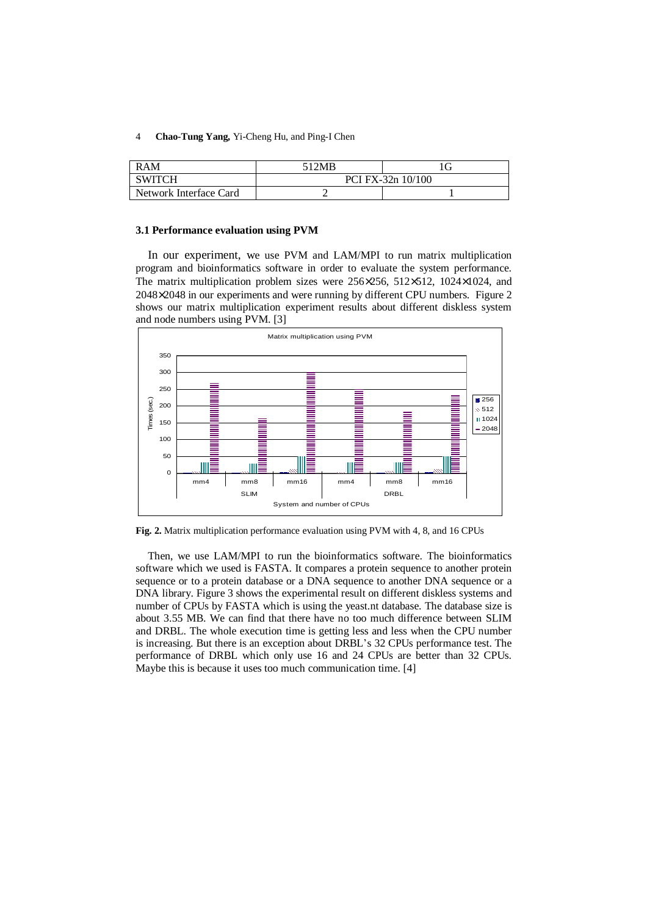| RAM                    | 512MB             |  |  |
|------------------------|-------------------|--|--|
| <b>SWITCH</b>          | PCI FX-32n 10/100 |  |  |
| Network Interface Card |                   |  |  |

#### **3.1 Performance evaluation using PVM**

In our experiment, we use PVM and LAM/MPI to run matrix multiplication program and bioinformatics software in order to evaluate the system performance. The matrix multiplication problem sizes were 256×256, 512×512, 1024×1024, and 2048×2048 in our experiments and were running by different CPU numbers. Figure 2 shows our matrix multiplication experiment results about different diskless system and node numbers using PVM. [3]



**Fig. 2.** Matrix multiplication performance evaluation using PVM with 4, 8, and 16 CPUs

Then, we use LAM/MPI to run the bioinformatics software. The bioinformatics software which we used is FASTA. It compares a protein sequence to another protein sequence or to a protein database or a DNA sequence to another DNA sequence or a DNA library. Figure 3 shows the experimental result on different diskless systems and number of CPUs by FASTA which is using the yeast.nt database. The database size is about 3.55 MB. We can find that there have no too much difference between SLIM and DRBL. The whole execution time is getting less and less when the CPU number is increasing. But there is an exception about DRBL's 32 CPUs performance test. The performance of DRBL which only use 16 and 24 CPUs are better than 32 CPUs. Maybe this is because it uses too much communication time. [4]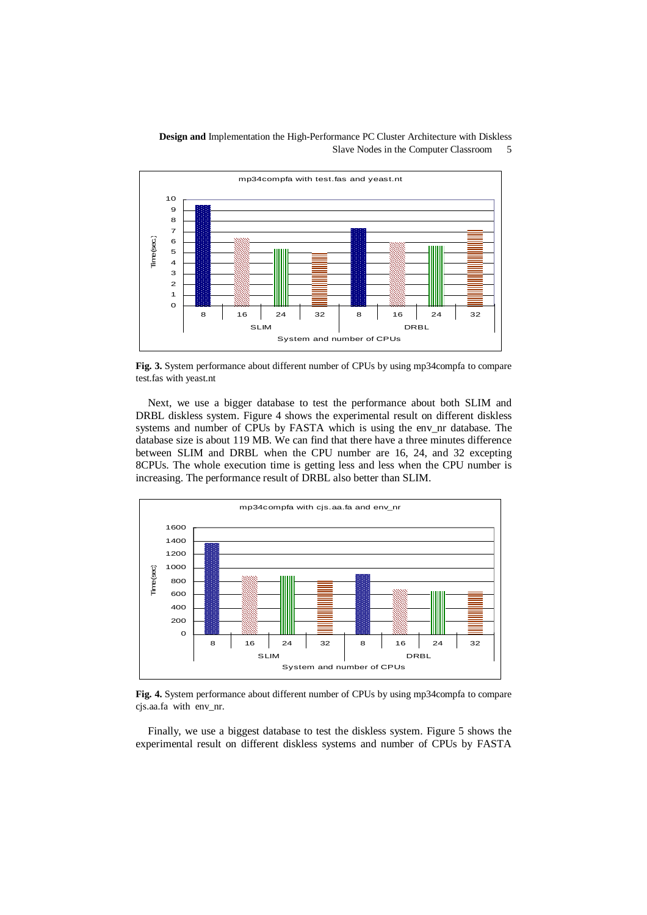

**Fig. 3.** System performance about different number of CPUs by using mp34compfa to compare test.fas with yeast.nt

Next, we use a bigger database to test the performance about both SLIM and DRBL diskless system. Figure 4 shows the experimental result on different diskless systems and number of CPUs by FASTA which is using the env\_nr database. The database size is about 119 MB. We can find that there have a three minutes difference between SLIM and DRBL when the CPU number are 16, 24, and 32 excepting 8CPUs. The whole execution time is getting less and less when the CPU number is increasing. The performance result of DRBL also better than SLIM.



**Fig. 4.** System performance about different number of CPUs by using mp34compfa to compare cjs.aa.fa with env\_nr.

Finally, we use a biggest database to test the diskless system. Figure 5 shows the experimental result on different diskless systems and number of CPUs by FASTA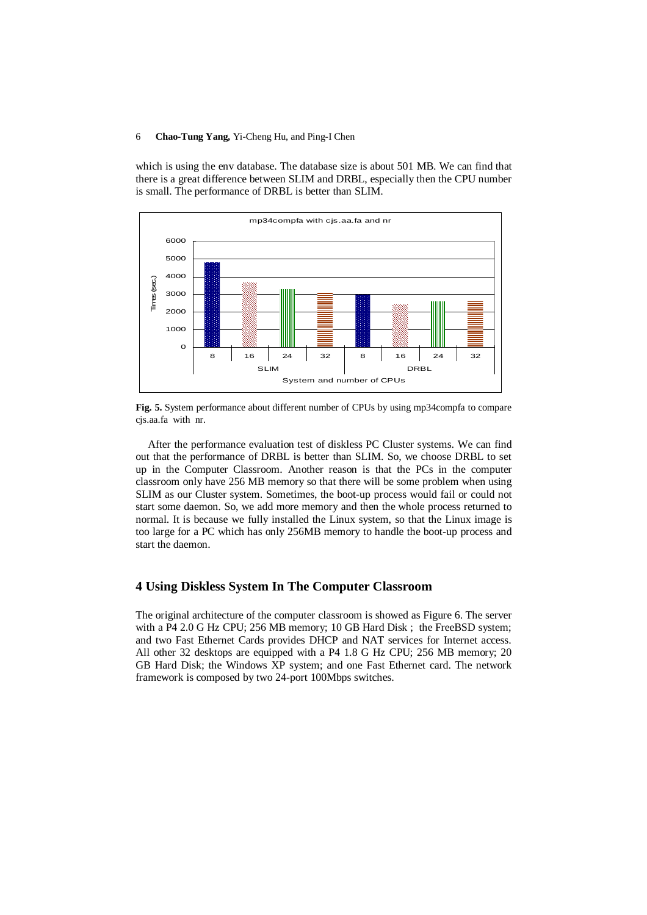which is using the env database. The database size is about 501 MB. We can find that there is a great difference between SLIM and DRBL, especially then the CPU number is small. The performance of DRBL is better than SLIM.



**Fig. 5.** System performance about different number of CPUs by using mp34compfa to compare cjs.aa.fa with nr.

After the performance evaluation test of diskless PC Cluster systems. We can find out that the performance of DRBL is better than SLIM. So, we choose DRBL to set up in the Computer Classroom. Another reason is that the PCs in the computer classroom only have 256 MB memory so that there will be some problem when using SLIM as our Cluster system. Sometimes, the boot-up process would fail or could not start some daemon. So, we add more memory and then the whole process returned to normal. It is because we fully installed the Linux system, so that the Linux image is too large for a PC which has only 256MB memory to handle the boot-up process and start the daemon.

### **4 Using Diskless System In The Computer Classroom**

The original architecture of the computer classroom is showed as Figure 6. The server with a P4 2.0 G Hz CPU; 256 MB memory; 10 GB Hard Disk ; the FreeBSD system; and two Fast Ethernet Cards provides DHCP and NAT services for Internet access. All other 32 desktops are equipped with a P4 1.8 G Hz CPU; 256 MB memory; 20 GB Hard Disk; the Windows XP system; and one Fast Ethernet card. The network framework is composed by two 24-port 100Mbps switches.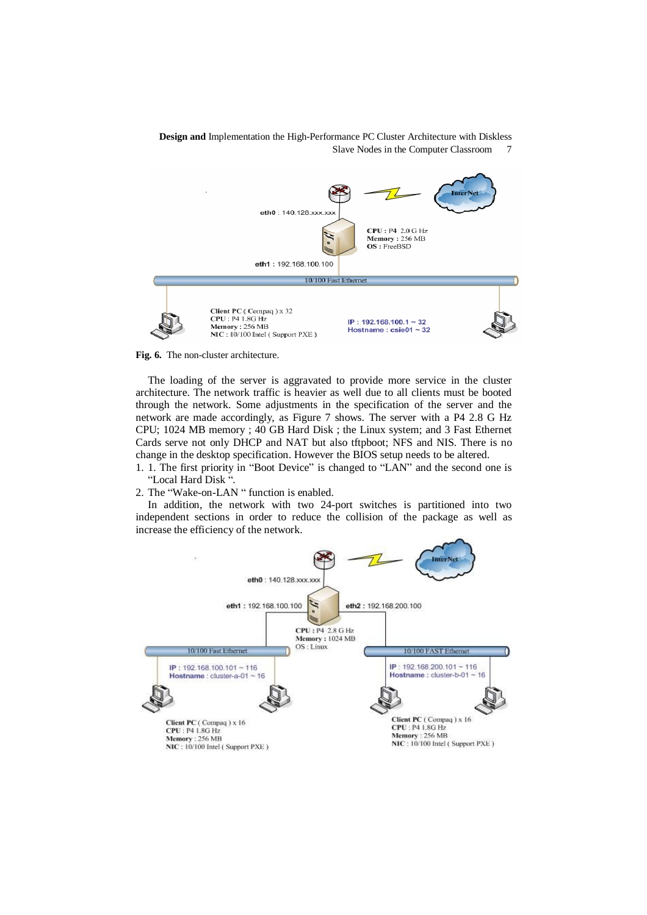



The loading of the server is aggravated to provide more service in the cluster architecture. The network traffic is heavier as well due to all clients must be booted through the network. Some adjustments in the specification of the server and the network are made accordingly, as Figure 7 shows. The server with a P4 2.8 G Hz CPU; 1024 MB memory ; 40 GB Hard Disk ; the Linux system; and 3 Fast Ethernet Cards serve not only DHCP and NAT but also tftpboot; NFS and NIS. There is no change in the desktop specification. However the BIOS setup needs to be altered.

- 1. 1. The first priority in "Boot Device" is changed to "LAN" and the second one is "Local Hard Disk ".
- 2. The "Wake-on-LAN " function is enabled.

In addition, the network with two 24-port switches is partitioned into two independent sections in order to reduce the collision of the package as well as increase the efficiency of the network.

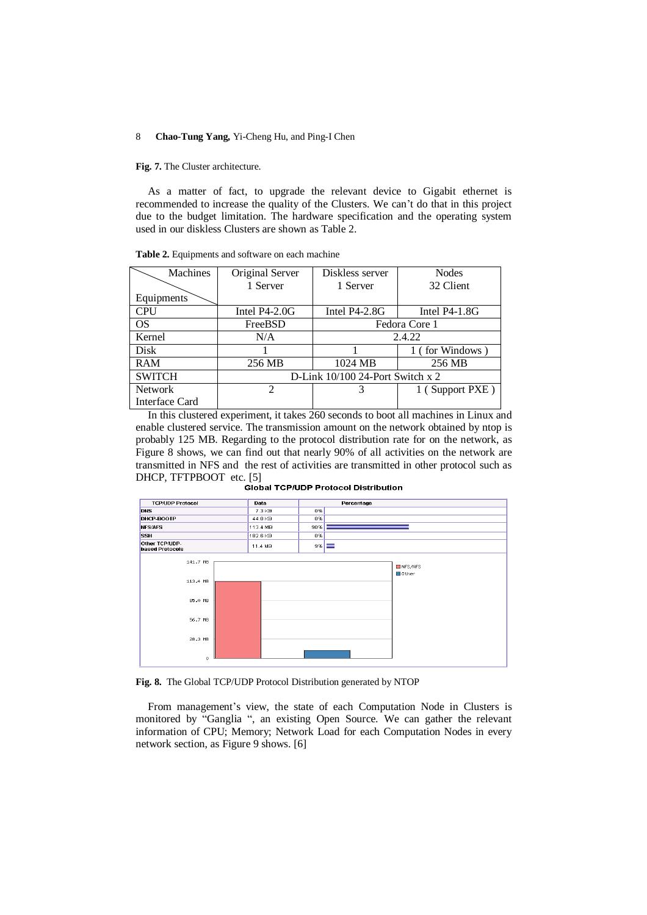**Fig. 7.** The Cluster architecture.

As a matter of fact, to upgrade the relevant device to Gigabit ethernet is recommended to increase the quality of the Clusters. We can't do that in this project due to the budget limitation. The hardware specification and the operating system used in our diskless Clusters are shown as Table 2.

| Table 2. Equipments and software on each machine |  |
|--------------------------------------------------|--|
|--------------------------------------------------|--|

| Machines       | Original Server                  | Diskless server | <b>Nodes</b>    |  |
|----------------|----------------------------------|-----------------|-----------------|--|
|                | 1 Server                         | 1 Server        | 32 Client       |  |
| Equipments     |                                  |                 |                 |  |
| <b>CPU</b>     | Intel $P4-2.0G$                  | Intel $P4-2.8G$ | Intel $P4-1.8G$ |  |
| <b>OS</b>      | FreeBSD                          | Fedora Core 1   |                 |  |
| Kernel         | N/A                              | 2.4.22          |                 |  |
| Disk           |                                  |                 | 1 (for Windows) |  |
| <b>RAM</b>     | 256 MB                           | 1024 MB         | 256 MB          |  |
| <b>SWITCH</b>  | D-Link 10/100 24-Port Switch x 2 |                 |                 |  |
| <b>Network</b> | $\mathfrak{D}$                   | 3               | 1 (Support PXE) |  |
| Interface Card |                                  |                 |                 |  |

In this clustered experiment, it takes 260 seconds to boot all machines in Linux and enable clustered service. The transmission amount on the network obtained by ntop is probably 125 MB. Regarding to the protocol distribution rate for on the network, as Figure 8 shows, we can find out that nearly 90% of all activities on the network are transmitted in NFS and the rest of activities are transmitted in other protocol such as DHCP, TFTPBOOT etc. [5]<br>Global TCP/UDP Protocol Distribution



**Fig. 8.** The Global TCP/UDP Protocol Distribution generated by NTOP

From management's view, the state of each Computation Node in Clusters is monitored by "Ganglia ", an existing Open Source. We can gather the relevant information of CPU; Memory; Network Load for each Computation Nodes in every network section, as Figure 9 shows. [6]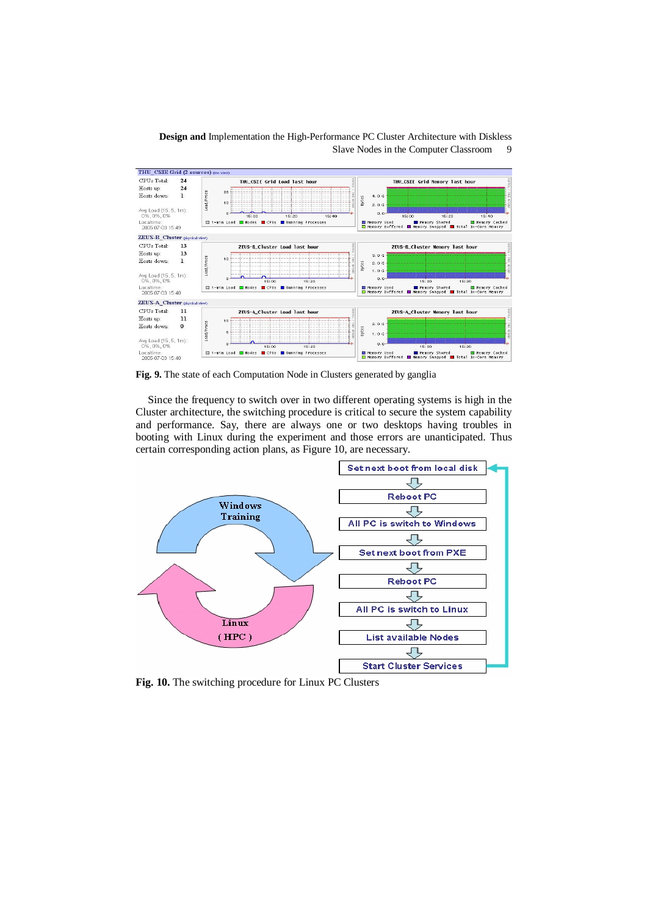

**Fig. 9.** The state of each Computation Node in Clusters generated by ganglia

Since the frequency to switch over in two different operating systems is high in the Cluster architecture, the switching procedure is critical to secure the system capability and performance. Say, there are always one or two desktops having troubles in booting with Linux during the experiment and those errors are unanticipated. Thus certain corresponding action plans, as Figure 10, are necessary.



**Fig. 10.** The switching procedure for Linux PC Clusters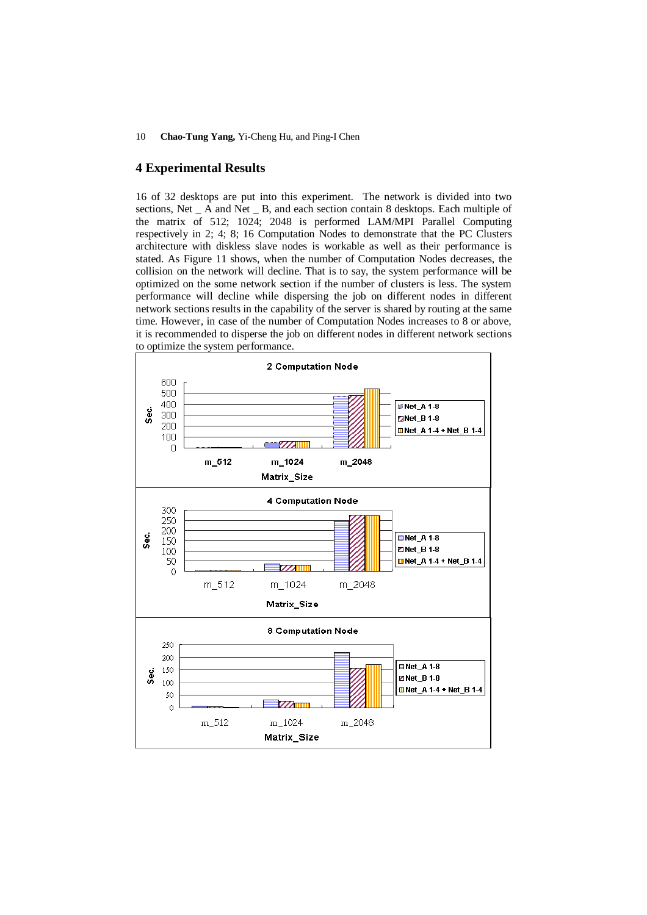# **4 Experimental Results**

16 of 32 desktops are put into this experiment. The network is divided into two sections, Net \_ A and Net \_ B, and each section contain 8 desktops. Each multiple of the matrix of 512; 1024; 2048 is performed LAM/MPI Parallel Computing respectively in 2; 4; 8; 16 Computation Nodes to demonstrate that the PC Clusters architecture with diskless slave nodes is workable as well as their performance is stated. As Figure 11 shows, when the number of Computation Nodes decreases, the collision on the network will decline. That is to say, the system performance will be optimized on the some network section if the number of clusters is less. The system performance will decline while dispersing the job on different nodes in different network sections results in the capability of the server is shared by routing at the same time. However, in case of the number of Computation Nodes increases to 8 or above, it is recommended to disperse the job on different nodes in different network sections to optimize the system performance.

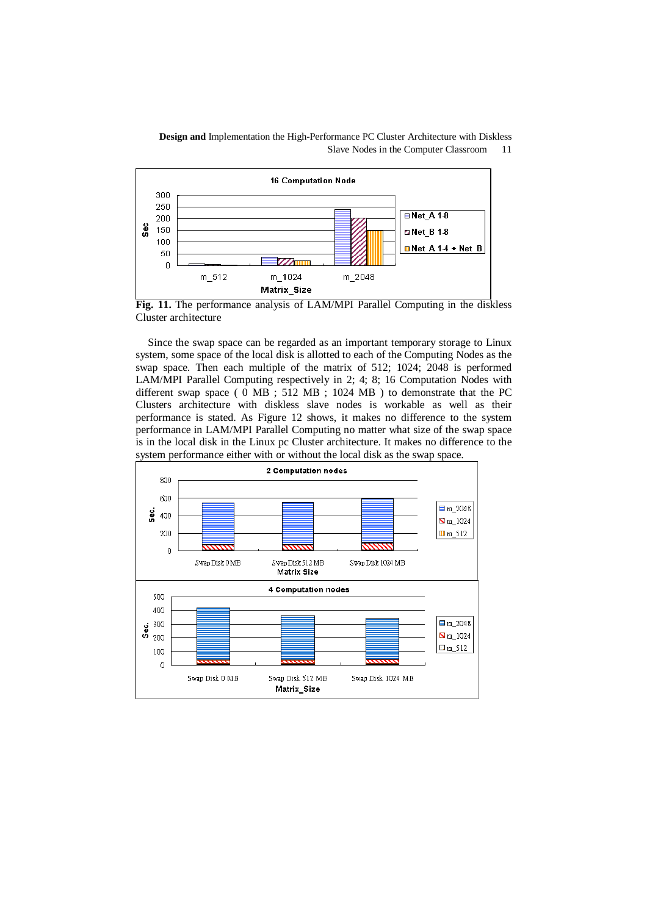

**Fig. 11.** The performance analysis of LAM/MPI Parallel Computing in the diskless Cluster architecture

Since the swap space can be regarded as an important temporary storage to Linux system, some space of the local disk is allotted to each of the Computing Nodes as the swap space. Then each multiple of the matrix of 512; 1024; 2048 is performed LAM/MPI Parallel Computing respectively in 2; 4; 8; 16 Computation Nodes with different swap space ( 0 MB ; 512 MB ; 1024 MB ) to demonstrate that the PC Clusters architecture with diskless slave nodes is workable as well as their performance is stated. As Figure 12 shows, it makes no difference to the system performance in LAM/MPI Parallel Computing no matter what size of the swap space is in the local disk in the Linux pc Cluster architecture. It makes no difference to the system performance either with or without the local disk as the swap space.

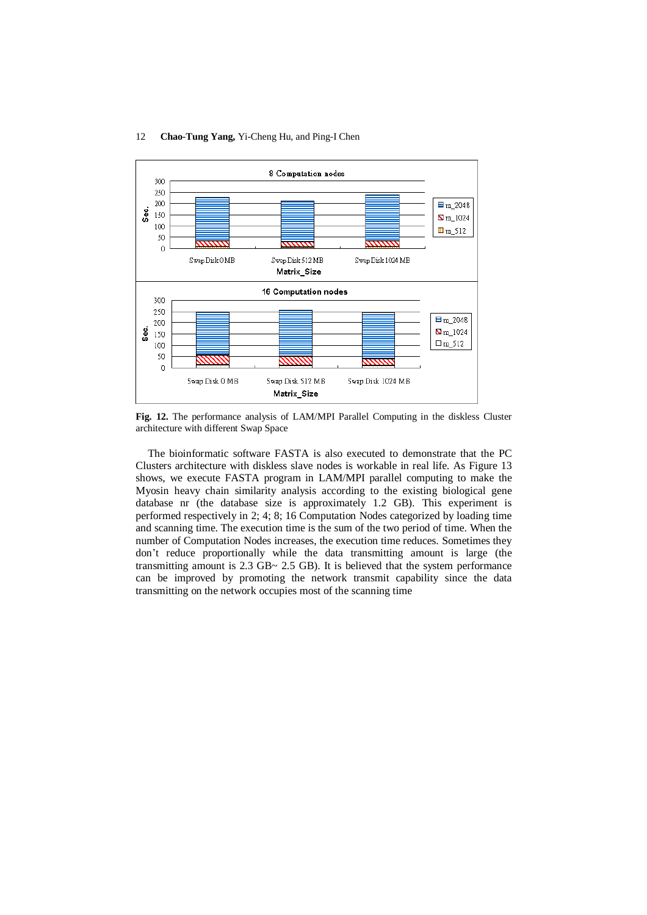

**Fig. 12.** The performance analysis of LAM/MPI Parallel Computing in the diskless Cluster architecture with different Swap Space

The bioinformatic software FASTA is also executed to demonstrate that the PC Clusters architecture with diskless slave nodes is workable in real life. As Figure 13 shows, we execute FASTA program in LAM/MPI parallel computing to make the Myosin heavy chain similarity analysis according to the existing biological gene database nr (the database size is approximately 1.2 GB). This experiment is performed respectively in 2; 4; 8; 16 Computation Nodes categorized by loading time and scanning time. The execution time is the sum of the two period of time. When the number of Computation Nodes increases, the execution time reduces. Sometimes they don't reduce proportionally while the data transmitting amount is large (the transmitting amount is 2.3 GB~ 2.5 GB). It is believed that the system performance can be improved by promoting the network transmit capability since the data transmitting on the network occupies most of the scanning time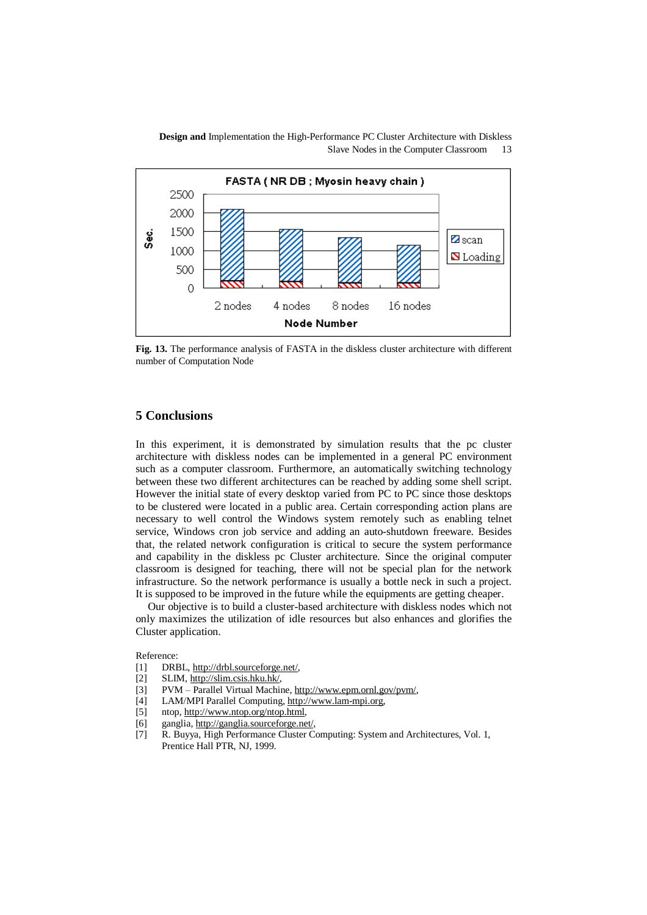

**Fig. 13.** The performance analysis of FASTA in the diskless cluster architecture with different number of Computation Node

# **5 Conclusions**

In this experiment, it is demonstrated by simulation results that the pc cluster architecture with diskless nodes can be implemented in a general PC environment such as a computer classroom. Furthermore, an automatically switching technology between these two different architectures can be reached by adding some shell script. However the initial state of every desktop varied from PC to PC since those desktops to be clustered were located in a public area. Certain corresponding action plans are necessary to well control the Windows system remotely such as enabling telnet service, Windows cron job service and adding an auto-shutdown freeware. Besides that, the related network configuration is critical to secure the system performance and capability in the diskless pc Cluster architecture. Since the original computer classroom is designed for teaching, there will not be special plan for the network infrastructure. So the network performance is usually a bottle neck in such a project. It is supposed to be improved in the future while the equipments are getting cheaper.

Our objective is to build a cluster-based architecture with diskless nodes which not only maximizes the utilization of idle resources but also enhances and glorifies the Cluster application.

Reference:

- [1] DRBL, [http://drbl.sourceforge.net/,](http://drbl.sourceforge.net/)
- [2] SLIM, <http://slim.csis.hku.hk/>,
- [3] PVM Parallel Virtual Machine, [http://www.epm.ornl.gov/pvm/,](http://www.epm.ornl.gov/pvm/)
- [4] LAM/MPI Parallel Computing,<http://www.lam-mpi.org>,
- [5] ntop,<http://www.ntop.org/ntop.html>,
- [6] ganglia, <http://ganglia.sourceforge.net/>,
- [7] R. Buyya, High Performance Cluster Computing: System and Architectures, Vol. 1, Prentice Hall PTR, NJ, 1999.